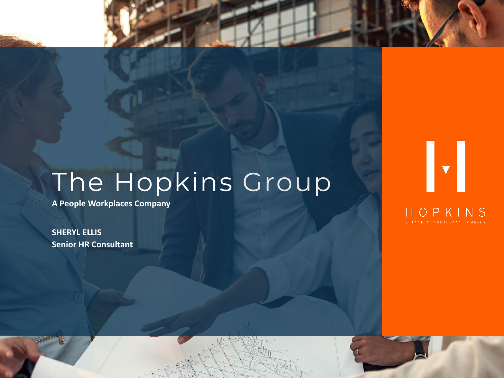### The Hopkins Group

**A People Workplaces Company**

**SHERYL ELLIS Senior HR Consultant**

### HOPKINS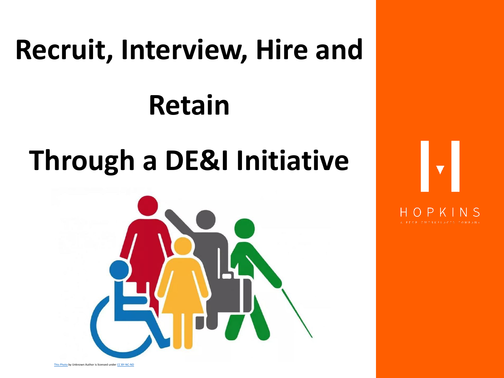## **Recruit, Interview, Hire and Retain**

### **Through a DE&I Initiative**





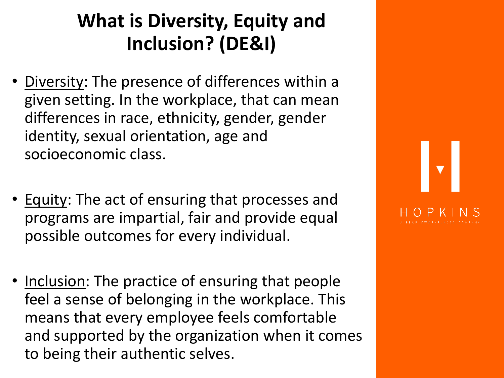### **What is Diversity, Equity and Inclusion? (DE&I)**

- Diversity: The presence of differences within a given setting. In the workplace, that can mean differences in race, ethnicity, gender, gender identity, sexual orientation, age and socioeconomic class.
- Equity: The act of ensuring that processes and programs are impartial, fair and provide equal possible outcomes for every individual.
- Inclusion: The practice of ensuring that people feel a sense of belonging in the workplace. This means that every employee feels comfortable and supported by the organization when it comes to being their authentic selves.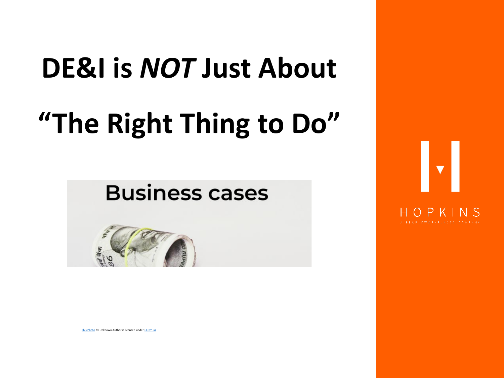# **DE&I is** *NOT* **Just About "The Right Thing to Do"**

### **Business cases**



[This Photo](https://os2.eu/blog/business-case-template-os2s-produkter) by Unknown Author is licensed under [CC BY-SA](https://creativecommons.org/licenses/by-sa/3.0/)

# $\mathbf{v}$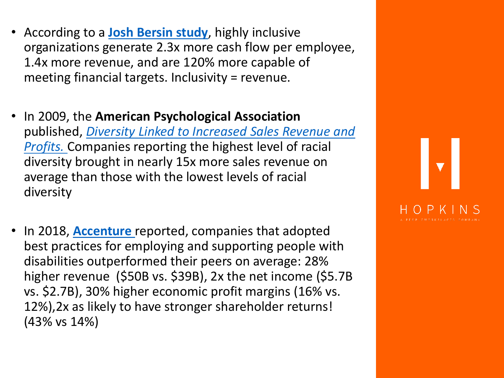- According to a **[Josh Bersin study](https://joshbersin.com/2015/12/why-diversity-and-inclusion-will-be-a-top-priority-for-2016/)**, highly inclusive organizations generate 2.3x more cash flow per employee, 1.4x more revenue, and are 120% more capable of meeting financial targets. Inclusivity = revenue.
- In 2009, the **American Psychological Association** published, *Diversity Linked to Increased Sales Revenue and Profits.* [Companies reporting the highest level of racial](https://www.asanet.org/sites/default/files/savvy/images/journals/docs/pdf/asr/Apr09ASRFeature.pdf)  diversity brought in nearly 15x more sales revenue on average than those with the lowest levels of racial diversity
- In 2018, **[Accenture](https://www.accenture.com/_acnmedia/pdf-89/accenture-disability-inclusion-research-report.pdf)** reported, companies that adopted best practices for employing and supporting people with disabilities outperformed their peers on average: 28% higher revenue (\$50B vs. \$39B), 2x the net income (\$5.7B vs. \$2.7B), 30% higher economic profit margins (16% vs. 12%),2x as likely to have stronger shareholder returns! (43% vs 14%)

### $\blacktriangledown$ P K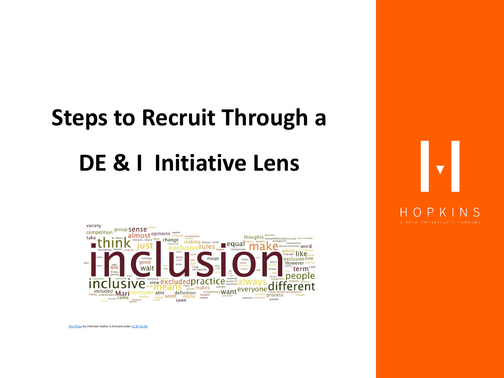## **Steps to Recruit Through a DE & I Initiative Lens**



[This Photo](https://smartcasuallaw.wordpress.com/tag/inclusion/) by Unknown Author is licensed under [CC BY-SA-NC](https://creativecommons.org/licenses/by-nc-sa/3.0/)

 $\blacktriangledown$  $\bigcap$  P н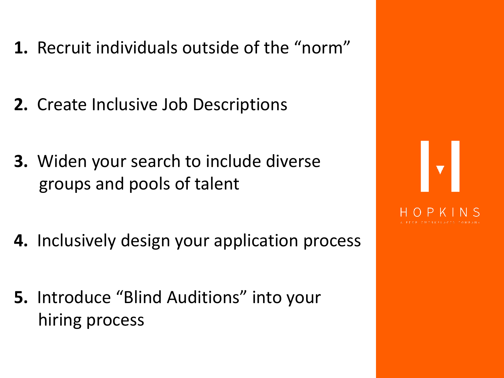- **1.** Recruit individuals outside of the "norm"
- **2.** Create Inclusive Job Descriptions
- **3.** Widen your search to include diverse groups and pools of talent
- **4.** Inclusively design your application process
- **5.** Introduce "Blind Auditions" into your hiring process

# $\left\| \mathbf{v} \right\|$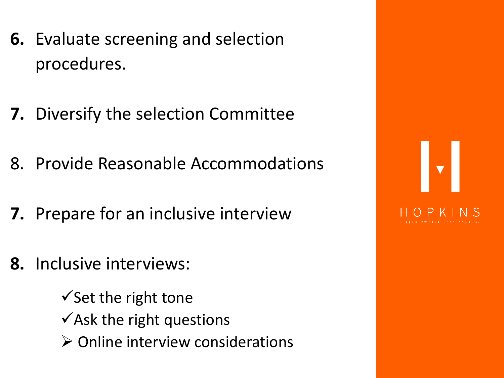- **6.** Evaluate screening and selection procedures.
- **7.** Diversify the selection Committee
- 8. Provide Reasonable Accommodations
- **7.** Prepare for an inclusive interview
- **8.** Inclusive interviews:

 $\checkmark$  Set the right tone Ask the right questions  $\triangleright$  Online interview considerations

 $\left\| \mathbf{v} \right\|$